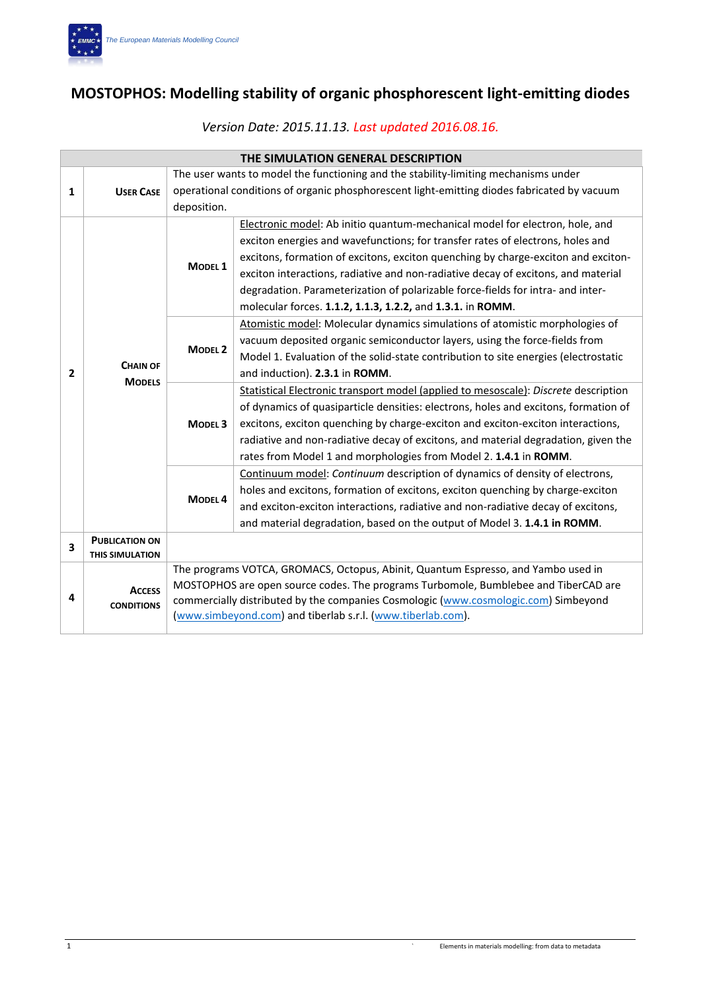

# **MOSTOPHOS: Modelling stability of organic phosphorescent light-emitting diodes**

|   | THE SIMULATION GENERAL DESCRIPTION |                                                                                             |                                                                                     |  |  |
|---|------------------------------------|---------------------------------------------------------------------------------------------|-------------------------------------------------------------------------------------|--|--|
|   |                                    |                                                                                             | The user wants to model the functioning and the stability-limiting mechanisms under |  |  |
| 1 | <b>USER CASE</b>                   | operational conditions of organic phosphorescent light-emitting diodes fabricated by vacuum |                                                                                     |  |  |
|   |                                    | deposition.                                                                                 |                                                                                     |  |  |
|   |                                    |                                                                                             | Electronic model: Ab initio quantum-mechanical model for electron, hole, and        |  |  |
|   |                                    |                                                                                             | exciton energies and wavefunctions; for transfer rates of electrons, holes and      |  |  |
|   |                                    | MODEL <sub>1</sub>                                                                          | excitons, formation of excitons, exciton quenching by charge-exciton and exciton-   |  |  |
|   |                                    |                                                                                             | exciton interactions, radiative and non-radiative decay of excitons, and material   |  |  |
|   |                                    |                                                                                             | degradation. Parameterization of polarizable force-fields for intra- and inter-     |  |  |
|   |                                    |                                                                                             | molecular forces. 1.1.2, 1.1.3, 1.2.2, and 1.3.1. in ROMM.                          |  |  |
|   |                                    |                                                                                             | Atomistic model: Molecular dynamics simulations of atomistic morphologies of        |  |  |
|   |                                    |                                                                                             | vacuum deposited organic semiconductor layers, using the force-fields from          |  |  |
|   | <b>CHAIN OF</b>                    | <b>MODEL 2</b>                                                                              | Model 1. Evaluation of the solid-state contribution to site energies (electrostatic |  |  |
| 2 | <b>MODELS</b>                      |                                                                                             | and induction). 2.3.1 in ROMM.                                                      |  |  |
|   |                                    | <b>MODEL 3</b>                                                                              | Statistical Electronic transport model (applied to mesoscale): Discrete description |  |  |
|   |                                    |                                                                                             | of dynamics of quasiparticle densities: electrons, holes and excitons, formation of |  |  |
|   |                                    |                                                                                             | excitons, exciton quenching by charge-exciton and exciton-exciton interactions,     |  |  |
|   |                                    |                                                                                             | radiative and non-radiative decay of excitons, and material degradation, given the  |  |  |
|   |                                    |                                                                                             | rates from Model 1 and morphologies from Model 2. 1.4.1 in ROMM.                    |  |  |
|   |                                    |                                                                                             | Continuum model: Continuum description of dynamics of density of electrons,         |  |  |
|   |                                    |                                                                                             | holes and excitons, formation of excitons, exciton quenching by charge-exciton      |  |  |
|   |                                    | <b>MODEL4</b>                                                                               | and exciton-exciton interactions, radiative and non-radiative decay of excitons,    |  |  |
|   |                                    |                                                                                             | and material degradation, based on the output of Model 3. 1.4.1 in ROMM.            |  |  |
| 3 | <b>PUBLICATION ON</b>              |                                                                                             |                                                                                     |  |  |
|   | <b>THIS SIMULATION</b>             |                                                                                             |                                                                                     |  |  |
|   |                                    |                                                                                             | The programs VOTCA, GROMACS, Octopus, Abinit, Quantum Espresso, and Yambo used in   |  |  |
|   | <b>ACCESS</b>                      |                                                                                             | MOSTOPHOS are open source codes. The programs Turbomole, Bumblebee and TiberCAD are |  |  |
| 4 | <b>CONDITIONS</b>                  |                                                                                             | commercially distributed by the companies Cosmologic (www.cosmologic.com) Simbeyond |  |  |
|   |                                    |                                                                                             | (www.simbeyond.com) and tiberlab s.r.l. (www.tiberlab.com).                         |  |  |

## *Version Date: 2015.11.13. Last updated 2016.08.16.*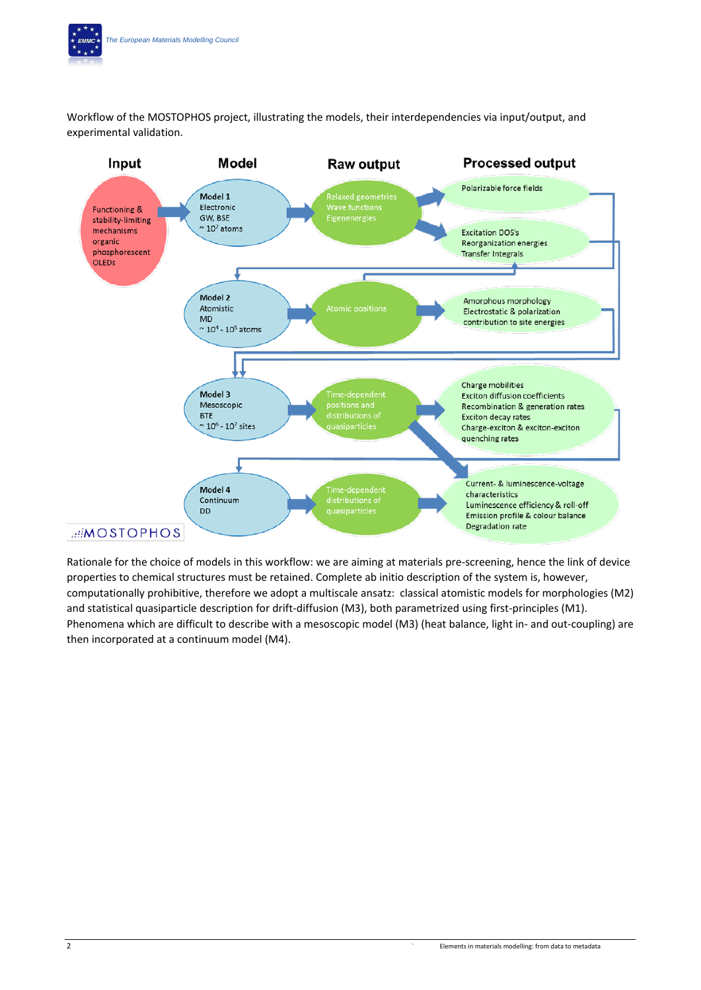Workflow of the MOSTOPHOS project, illustrating the models, their interdependencies via input/output, and experimental validation.



Rationale for the choice of models in this workflow: we are aiming at materials pre-screening, hence the link of device properties to chemical structures must be retained. Complete ab initio description of the system is, however, computationally prohibitive, therefore we adopt a multiscale ansatz: classical atomistic models for morphologies (M2) and statistical quasiparticle description for drift-diffusion (M3), both parametrized using first-principles (M1). Phenomena which are difficult to describe with a mesoscopic model (M3) (heat balance, light in- and out-coupling) are then incorporated at a continuum model (M4).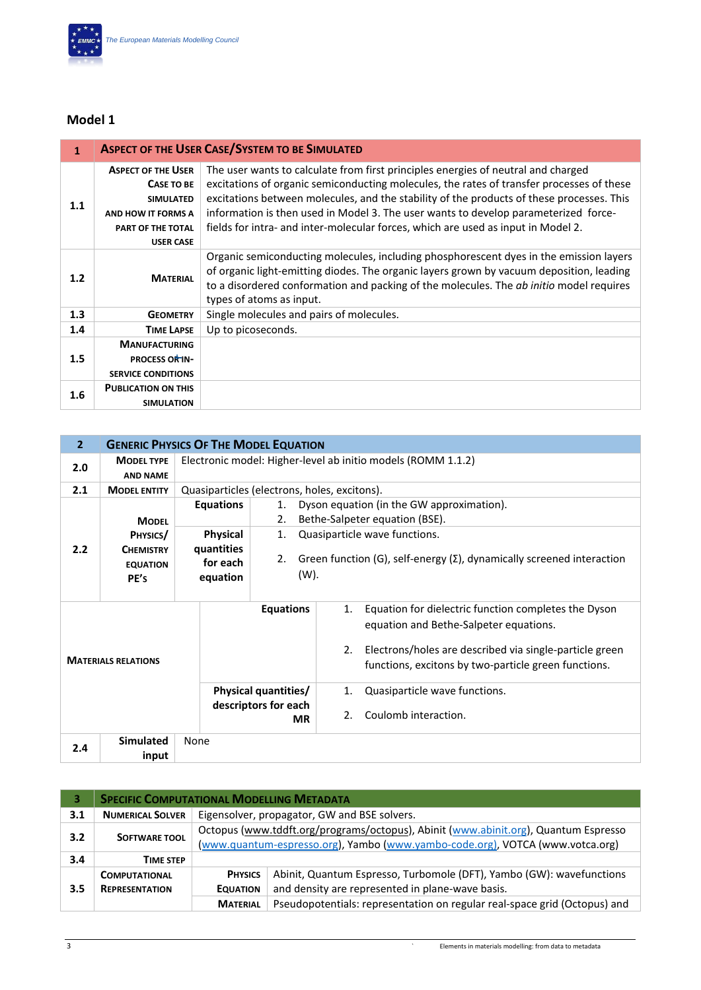

| $\mathbf{1}$ |                                                                                                                            | <b>ASPECT OF THE USER CASE/SYSTEM TO BE SIMULATED</b>                                                                                                                                                                                                                                                                                                                                                                                                   |
|--------------|----------------------------------------------------------------------------------------------------------------------------|---------------------------------------------------------------------------------------------------------------------------------------------------------------------------------------------------------------------------------------------------------------------------------------------------------------------------------------------------------------------------------------------------------------------------------------------------------|
| 1.1          | <b>ASPECT OF THE USER</b><br>CASE TO BE<br><b>SIMULATED</b><br>AND HOW IT FORMS A<br>PART OF THE TOTAL<br><b>USER CASE</b> | The user wants to calculate from first principles energies of neutral and charged<br>excitations of organic semiconducting molecules, the rates of transfer processes of these<br>excitations between molecules, and the stability of the products of these processes. This<br>information is then used in Model 3. The user wants to develop parameterized force-<br>fields for intra- and inter-molecular forces, which are used as input in Model 2. |
| 1.2          | <b>MATERIAL</b>                                                                                                            | Organic semiconducting molecules, including phosphorescent dyes in the emission layers<br>of organic light-emitting diodes. The organic layers grown by vacuum deposition, leading<br>to a disordered conformation and packing of the molecules. The ab initio model requires<br>types of atoms as input.                                                                                                                                               |
| 1.3          | <b>GEOMETRY</b>                                                                                                            | Single molecules and pairs of molecules.                                                                                                                                                                                                                                                                                                                                                                                                                |
| 1.4          | <b>TIME LAPSE</b>                                                                                                          | Up to picoseconds.                                                                                                                                                                                                                                                                                                                                                                                                                                      |
| 1.5          | <b>MANUFACTURING</b><br><b>PROCESS OR IN-</b><br><b>SERVICE CONDITIONS</b>                                                 |                                                                                                                                                                                                                                                                                                                                                                                                                                                         |
| 1.6          | <b>PUBLICATION ON THIS</b><br><b>SIMULATION</b>                                                                            |                                                                                                                                                                                                                                                                                                                                                                                                                                                         |

| $\overline{2}$             |                                             |                                                                  | <b>GENERIC PHYSICS OF THE MODEL EQUATION</b>                                                |                     |                                                                                                                                                                                                                   |
|----------------------------|---------------------------------------------|------------------------------------------------------------------|---------------------------------------------------------------------------------------------|---------------------|-------------------------------------------------------------------------------------------------------------------------------------------------------------------------------------------------------------------|
| 2.0                        | <b>MODEL TYPE</b><br><b>AND NAME</b>        |                                                                  | Electronic model: Higher-level ab initio models (ROMM 1.1.2)                                |                     |                                                                                                                                                                                                                   |
| 2.1                        | <b>MODEL ENTITY</b>                         | Quasiparticles (electrons, holes, excitons).                     |                                                                                             |                     |                                                                                                                                                                                                                   |
|                            | <b>MODEL</b><br>PHYSICS/                    | <b>Equations</b><br><b>Physical</b>                              | 1.<br>2.<br>1.                                                                              |                     | Dyson equation (in the GW approximation).<br>Bethe-Salpeter equation (BSE).<br>Quasiparticle wave functions.                                                                                                      |
| 2.2                        | <b>CHEMISTRY</b><br><b>EQUATION</b><br>PE's | quantities<br>for each<br>equation                               | Green function (G), self-energy $(\Sigma)$ , dynamically screened interaction<br>2.<br>(W). |                     |                                                                                                                                                                                                                   |
| <b>MATERIALS RELATIONS</b> |                                             |                                                                  | <b>Equations</b>                                                                            | 1.<br>2.            | Equation for dielectric function completes the Dyson<br>equation and Bethe-Salpeter equations.<br>Electrons/holes are described via single-particle green<br>functions, excitons by two-particle green functions. |
|                            |                                             | <b>Physical quantities/</b><br>descriptors for each<br><b>MR</b> |                                                                                             | 1.<br>$\mathcal{P}$ | Quasiparticle wave functions.<br>Coulomb interaction.                                                                                                                                                             |
| 2.4                        | <b>Simulated</b><br>input                   | None                                                             |                                                                                             |                     |                                                                                                                                                                                                                   |

|     | <b>SPECIFIC COMPUTATIONAL MODELLING METADATA</b> |                                                                                                                                                                      |                                                                                                                          |  |
|-----|--------------------------------------------------|----------------------------------------------------------------------------------------------------------------------------------------------------------------------|--------------------------------------------------------------------------------------------------------------------------|--|
| 3.1 | <b>NUMERICAL SOLVER</b>                          | Eigensolver, propagator, GW and BSE solvers.                                                                                                                         |                                                                                                                          |  |
| 3.2 | <b>SOFTWARE TOOL</b>                             | Octopus (www.tddft.org/programs/octopus), Abinit (www.abinit.org), Quantum Espresso<br>(www.quantum-espresso.org), Yambo (www.yambo-code.org), VOTCA (www.votca.org) |                                                                                                                          |  |
| 3.4 | <b>TIME STEP</b>                                 |                                                                                                                                                                      |                                                                                                                          |  |
| 3.5 | <b>COMPUTATIONAL</b><br><b>REPRESENTATION</b>    | <b>PHYSICS</b><br><b>EQUATION</b>                                                                                                                                    | Abinit, Quantum Espresso, Turbomole (DFT), Yambo (GW): wavefunctions<br>and density are represented in plane-wave basis. |  |
|     |                                                  | <b>MATERIAL</b>                                                                                                                                                      | Pseudopotentials: representation on regular real-space grid (Octopus) and                                                |  |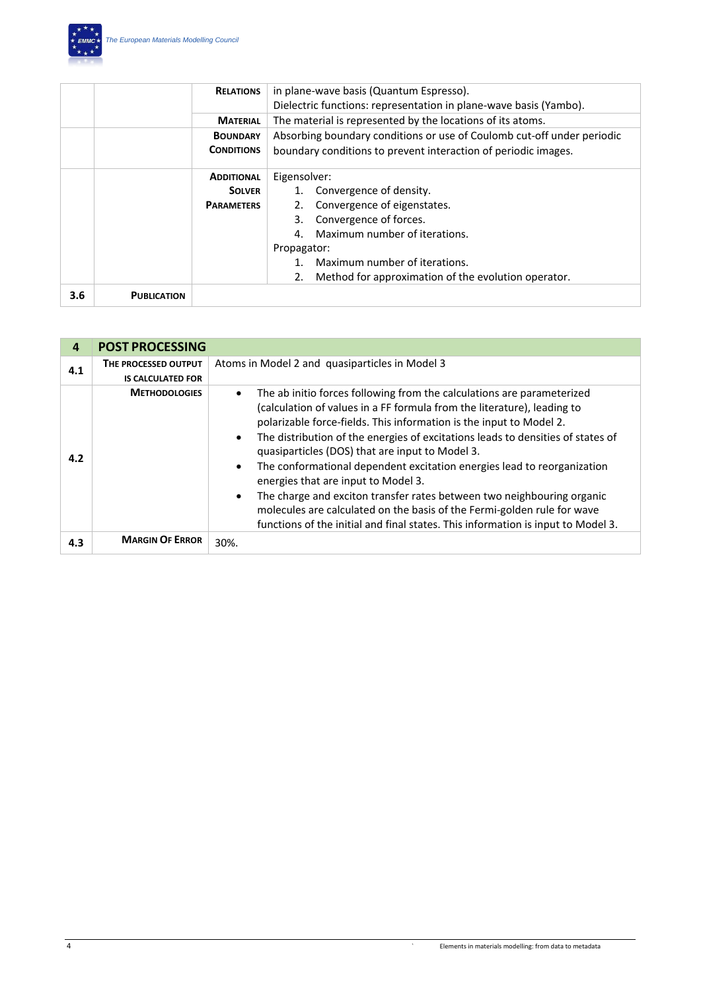

|     |                    | <b>RELATIONS</b>  | in plane-wave basis (Quantum Espresso).<br>Dielectric functions: representation in plane-wave basis (Yambo). |  |
|-----|--------------------|-------------------|--------------------------------------------------------------------------------------------------------------|--|
|     |                    | <b>MATERIAL</b>   | The material is represented by the locations of its atoms.                                                   |  |
|     |                    | <b>BOUNDARY</b>   | Absorbing boundary conditions or use of Coulomb cut-off under periodic                                       |  |
|     |                    | <b>CONDITIONS</b> | boundary conditions to prevent interaction of periodic images.                                               |  |
|     |                    | <b>ADDITIONAL</b> | Eigensolver:                                                                                                 |  |
|     |                    | <b>SOLVER</b>     | Convergence of density.                                                                                      |  |
|     |                    | <b>PARAMETERS</b> | Convergence of eigenstates.                                                                                  |  |
|     |                    |                   | Convergence of forces.<br>3.                                                                                 |  |
|     |                    |                   | Maximum number of iterations.<br>4                                                                           |  |
|     |                    |                   | Propagator:                                                                                                  |  |
|     |                    |                   | Maximum number of iterations.                                                                                |  |
|     |                    |                   | Method for approximation of the evolution operator.<br>2.                                                    |  |
| 3.6 | <b>PUBLICATION</b> |                   |                                                                                                              |  |

| 4   | <b>POST PROCESSING</b>   |                                                                                                                                                                                                                                                                                                                                                                                                                                                                                                                                                                                                                                                                                                                                                                  |
|-----|--------------------------|------------------------------------------------------------------------------------------------------------------------------------------------------------------------------------------------------------------------------------------------------------------------------------------------------------------------------------------------------------------------------------------------------------------------------------------------------------------------------------------------------------------------------------------------------------------------------------------------------------------------------------------------------------------------------------------------------------------------------------------------------------------|
| 4.1 | THE PROCESSED OUTPUT     | Atoms in Model 2 and quasiparticles in Model 3                                                                                                                                                                                                                                                                                                                                                                                                                                                                                                                                                                                                                                                                                                                   |
|     | <b>IS CALCULATED FOR</b> |                                                                                                                                                                                                                                                                                                                                                                                                                                                                                                                                                                                                                                                                                                                                                                  |
| 4.2 | <b>METHODOLOGIES</b>     | The ab initio forces following from the calculations are parameterized<br>$\bullet$<br>(calculation of values in a FF formula from the literature), leading to<br>polarizable force-fields. This information is the input to Model 2.<br>The distribution of the energies of excitations leads to densities of states of<br>$\bullet$<br>quasiparticles (DOS) that are input to Model 3.<br>The conformational dependent excitation energies lead to reorganization<br>energies that are input to Model 3.<br>The charge and exciton transfer rates between two neighbouring organic<br>$\bullet$<br>molecules are calculated on the basis of the Fermi-golden rule for wave<br>functions of the initial and final states. This information is input to Model 3. |
| 4.3 | <b>MARGIN OF ERROR</b>   | 30%.                                                                                                                                                                                                                                                                                                                                                                                                                                                                                                                                                                                                                                                                                                                                                             |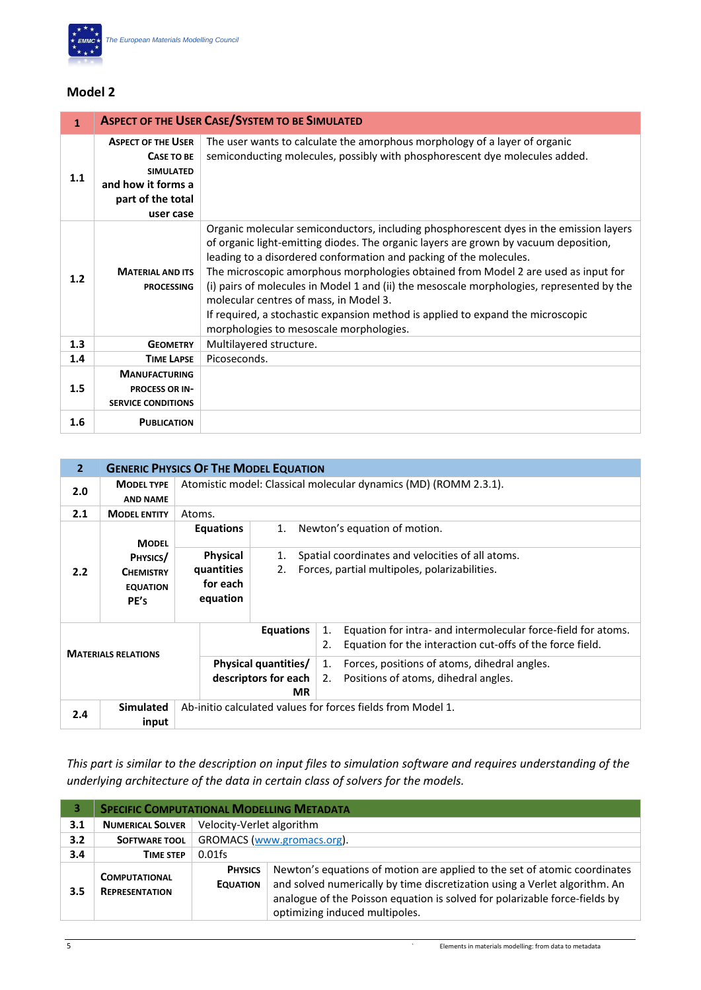

| $\mathbf{1}$ |                                                                                                                            | <b>ASPECT OF THE USER CASE/SYSTEM TO BE SIMULATED</b>                                                                                                                                                                                                                                                                                                                                                                                                                                                                                                                                                           |
|--------------|----------------------------------------------------------------------------------------------------------------------------|-----------------------------------------------------------------------------------------------------------------------------------------------------------------------------------------------------------------------------------------------------------------------------------------------------------------------------------------------------------------------------------------------------------------------------------------------------------------------------------------------------------------------------------------------------------------------------------------------------------------|
| 1.1          | <b>ASPECT OF THE USER</b><br><b>CASE TO BE</b><br><b>SIMULATED</b><br>and how it forms a<br>part of the total<br>user case | The user wants to calculate the amorphous morphology of a layer of organic<br>semiconducting molecules, possibly with phosphorescent dye molecules added.                                                                                                                                                                                                                                                                                                                                                                                                                                                       |
| 1.2          | <b>MATERIAL AND ITS</b><br><b>PROCESSING</b>                                                                               | Organic molecular semiconductors, including phosphorescent dyes in the emission layers<br>of organic light-emitting diodes. The organic layers are grown by vacuum deposition,<br>leading to a disordered conformation and packing of the molecules.<br>The microscopic amorphous morphologies obtained from Model 2 are used as input for<br>(i) pairs of molecules in Model 1 and (ii) the mesoscale morphologies, represented by the<br>molecular centres of mass, in Model 3.<br>If required, a stochastic expansion method is applied to expand the microscopic<br>morphologies to mesoscale morphologies. |
| 1.3          | <b>GEOMETRY</b>                                                                                                            | Multilayered structure.                                                                                                                                                                                                                                                                                                                                                                                                                                                                                                                                                                                         |
| 1.4          | <b>TIME LAPSE</b>                                                                                                          | Picoseconds.                                                                                                                                                                                                                                                                                                                                                                                                                                                                                                                                                                                                    |
| 1.5          | <b>MANUFACTURING</b><br><b>PROCESS OR IN-</b><br><b>SERVICE CONDITIONS</b>                                                 |                                                                                                                                                                                                                                                                                                                                                                                                                                                                                                                                                                                                                 |
| 1.6          | <b>PUBLICATION</b>                                                                                                         |                                                                                                                                                                                                                                                                                                                                                                                                                                                                                                                                                                                                                 |

| $\overline{2}$                    |                                      |                                                                  | <b>GENERIC PHYSICS OF THE MODEL EQUATION</b>                                                                                           |  |  |  |
|-----------------------------------|--------------------------------------|------------------------------------------------------------------|----------------------------------------------------------------------------------------------------------------------------------------|--|--|--|
| 2.0                               | <b>MODEL TYPE</b><br><b>AND NAME</b> | Atomistic model: Classical molecular dynamics (MD) (ROMM 2.3.1). |                                                                                                                                        |  |  |  |
| 2.1                               | <b>MODEL ENTITY</b>                  | Atoms.                                                           |                                                                                                                                        |  |  |  |
|                                   | <b>MODEL</b>                         | <b>Equations</b><br>1.                                           | Newton's equation of motion.                                                                                                           |  |  |  |
|                                   | PHYSICS/                             | <b>Physical</b><br>1.                                            | Spatial coordinates and velocities of all atoms.                                                                                       |  |  |  |
| 2.2                               | <b>CHEMISTRY</b>                     | quantities<br>2.                                                 | Forces, partial multipoles, polarizabilities.                                                                                          |  |  |  |
|                                   | <b>EQUATION</b>                      | for each                                                         |                                                                                                                                        |  |  |  |
|                                   | PE's                                 | equation                                                         |                                                                                                                                        |  |  |  |
|                                   |                                      |                                                                  |                                                                                                                                        |  |  |  |
|                                   | <b>MATERIALS RELATIONS</b>           | <b>Equations</b>                                                 | Equation for intra- and intermolecular force-field for atoms.<br>1.<br>Equation for the interaction cut-offs of the force field.<br>2. |  |  |  |
|                                   | <b>Physical quantities/</b>          |                                                                  | Forces, positions of atoms, dihedral angles.<br>1.                                                                                     |  |  |  |
| descriptors for each<br><b>MR</b> |                                      |                                                                  | Positions of atoms, dihedral angles.<br>2.                                                                                             |  |  |  |
|                                   |                                      |                                                                  |                                                                                                                                        |  |  |  |
|                                   | <b>Simulated</b>                     |                                                                  | Ab-initio calculated values for forces fields from Model 1.                                                                            |  |  |  |
| 2.4                               | input                                |                                                                  |                                                                                                                                        |  |  |  |

*This part is similar to the description on input files to simulation software and requires understanding of the underlying architecture of the data in certain class of solvers for the models.* 

|     | <b>SPECIFIC COMPUTATIONAL MODELLING METADATA</b> |                                                                                                                                                                                                                                                                                                              |                            |  |  |
|-----|--------------------------------------------------|--------------------------------------------------------------------------------------------------------------------------------------------------------------------------------------------------------------------------------------------------------------------------------------------------------------|----------------------------|--|--|
| 3.1 | <b>NUMERICAL SOLVER</b>                          |                                                                                                                                                                                                                                                                                                              | Velocity-Verlet algorithm  |  |  |
| 3.2 | <b>SOFTWARE TOOL</b>                             |                                                                                                                                                                                                                                                                                                              | GROMACS (www.gromacs.org). |  |  |
| 3.4 | <b>TIME STEP</b>                                 | $0.01$ fs                                                                                                                                                                                                                                                                                                    |                            |  |  |
| 3.5 | <b>COMPUTATIONAL</b><br><b>REPRESENTATION</b>    | Newton's equations of motion are applied to the set of atomic coordinates<br><b>PHYSICS</b><br>and solved numerically by time discretization using a Verlet algorithm. An<br><b>EQUATION</b><br>analogue of the Poisson equation is solved for polarizable force-fields by<br>optimizing induced multipoles. |                            |  |  |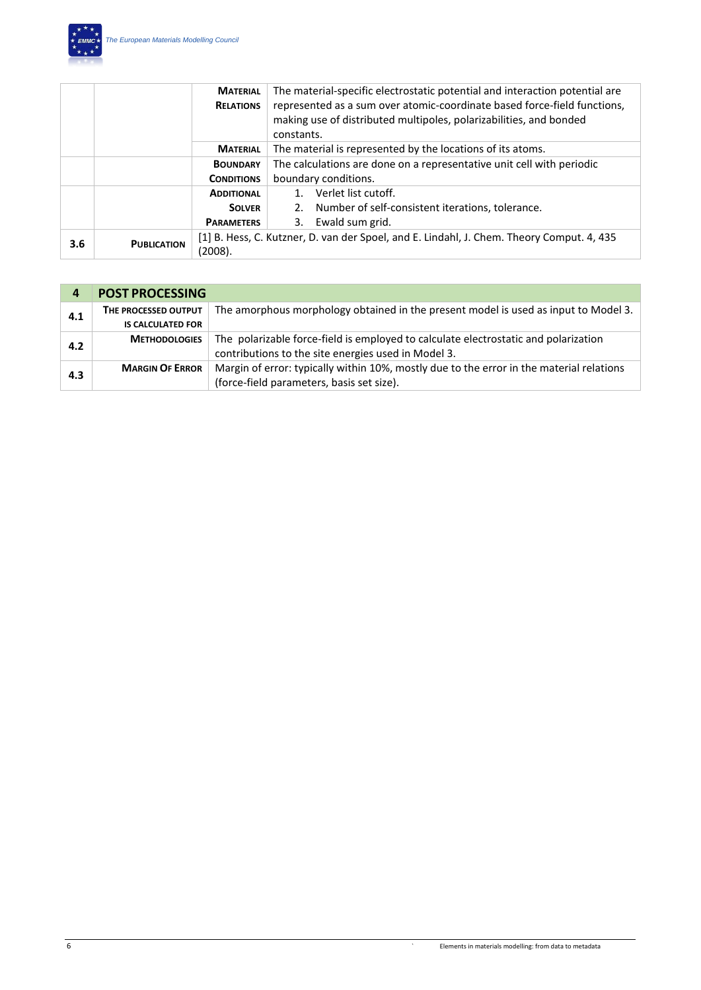

|                 |                    | <b>MATERIAL</b>   | The material-specific electrostatic potential and interaction potential are               |
|-----------------|--------------------|-------------------|-------------------------------------------------------------------------------------------|
|                 |                    | <b>RELATIONS</b>  | represented as a sum over atomic-coordinate based force-field functions,                  |
|                 |                    |                   | making use of distributed multipoles, polarizabilities, and bonded                        |
|                 |                    |                   | constants.                                                                                |
| <b>MATERIAL</b> |                    |                   | The material is represented by the locations of its atoms.                                |
|                 |                    | <b>BOUNDARY</b>   | The calculations are done on a representative unit cell with periodic                     |
|                 |                    | <b>CONDITIONS</b> | boundary conditions.                                                                      |
|                 |                    | <b>ADDITIONAL</b> | Verlet list cutoff.                                                                       |
|                 |                    | <b>SOLVER</b>     | Number of self-consistent iterations, tolerance.<br>2.                                    |
|                 |                    | <b>PARAMETERS</b> | Ewald sum grid.<br>3.                                                                     |
|                 | <b>PUBLICATION</b> |                   | [1] B. Hess, C. Kutzner, D. van der Spoel, and E. Lindahl, J. Chem. Theory Comput. 4, 435 |
| 3.6             |                    | (2008).           |                                                                                           |

| 4   | <b>POST PROCESSING</b>   |                                                                                          |
|-----|--------------------------|------------------------------------------------------------------------------------------|
| 4.1 | THE PROCESSED OUTPUT     | The amorphous morphology obtained in the present model is used as input to Model 3.      |
|     | <b>IS CALCULATED FOR</b> |                                                                                          |
| 4.2 | <b>METHODOLOGIES</b>     | The polarizable force-field is employed to calculate electrostatic and polarization      |
|     |                          | contributions to the site energies used in Model 3.                                      |
| 4.3 | <b>MARGIN OF ERROR</b>   | Margin of error: typically within 10%, mostly due to the error in the material relations |
|     |                          | (force-field parameters, basis set size).                                                |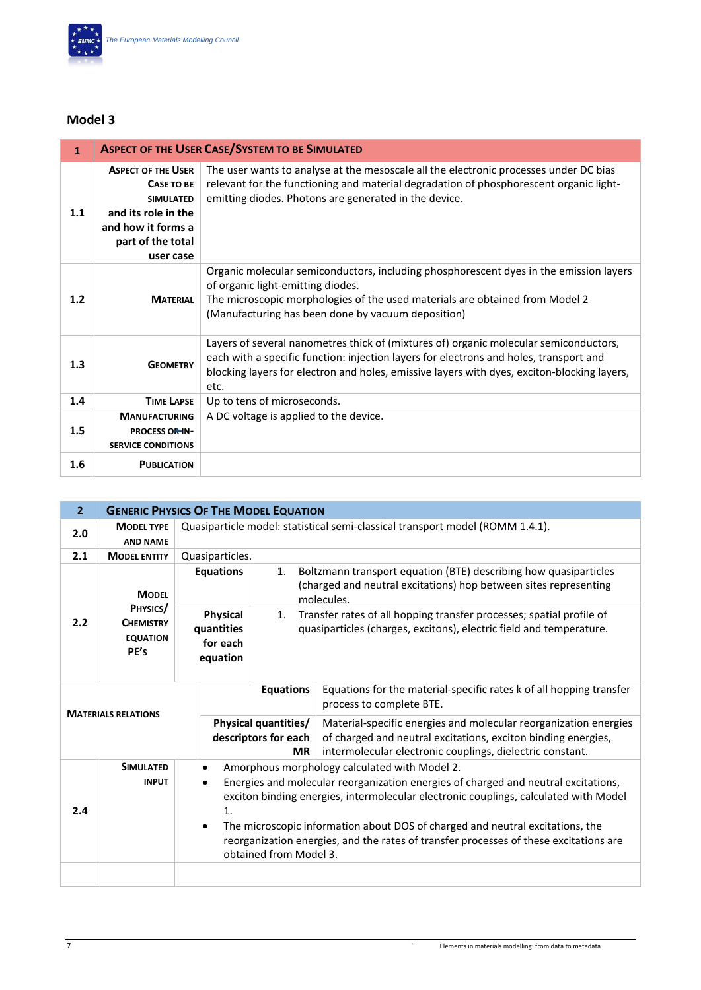

| $\mathbf{1}$ |                                                                                                                                                   | <b>ASPECT OF THE USER CASE/SYSTEM TO BE SIMULATED</b>                                                                                                                                                                                                                                  |
|--------------|---------------------------------------------------------------------------------------------------------------------------------------------------|----------------------------------------------------------------------------------------------------------------------------------------------------------------------------------------------------------------------------------------------------------------------------------------|
| 1.1          | <b>ASPECT OF THE USER</b><br><b>CASE TO BE</b><br><b>SIMULATED</b><br>and its role in the<br>and how it forms a<br>part of the total<br>user case | The user wants to analyse at the mesoscale all the electronic processes under DC bias<br>relevant for the functioning and material degradation of phosphorescent organic light-<br>emitting diodes. Photons are generated in the device.                                               |
| 1.2          | <b>MATERIAL</b>                                                                                                                                   | Organic molecular semiconductors, including phosphorescent dyes in the emission layers<br>of organic light-emitting diodes.<br>The microscopic morphologies of the used materials are obtained from Model 2<br>(Manufacturing has been done by vacuum deposition)                      |
| 1.3          | <b>GEOMETRY</b>                                                                                                                                   | Layers of several nanometres thick of (mixtures of) organic molecular semiconductors,<br>each with a specific function: injection layers for electrons and holes, transport and<br>blocking layers for electron and holes, emissive layers with dyes, exciton-blocking layers,<br>etc. |
| 1.4          | <b>TIME LAPSE</b>                                                                                                                                 | Up to tens of microseconds.                                                                                                                                                                                                                                                            |
| 1.5          | <b>MANUFACTURING</b><br><b>PROCESS OR IN-</b><br><b>SERVICE CONDITIONS</b>                                                                        | A DC voltage is applied to the device.                                                                                                                                                                                                                                                 |
| 1.6          | <b>PUBLICATION</b>                                                                                                                                |                                                                                                                                                                                                                                                                                        |

| $\overline{2}$             | <b>GENERIC PHYSICS OF THE MODEL EQUATION</b>                            |                                                                                                                                                                                                                                                                                                                                                                                                                                                                              |                                                                                                                                                          |                                                                                                                                                                                                |  |
|----------------------------|-------------------------------------------------------------------------|------------------------------------------------------------------------------------------------------------------------------------------------------------------------------------------------------------------------------------------------------------------------------------------------------------------------------------------------------------------------------------------------------------------------------------------------------------------------------|----------------------------------------------------------------------------------------------------------------------------------------------------------|------------------------------------------------------------------------------------------------------------------------------------------------------------------------------------------------|--|
| 2.0                        | <b>MODEL TYPE</b><br><b>AND NAME</b>                                    | Quasiparticle model: statistical semi-classical transport model (ROMM 1.4.1).                                                                                                                                                                                                                                                                                                                                                                                                |                                                                                                                                                          |                                                                                                                                                                                                |  |
| 2.1                        | <b>MODEL ENTITY</b>                                                     | Quasiparticles.                                                                                                                                                                                                                                                                                                                                                                                                                                                              |                                                                                                                                                          |                                                                                                                                                                                                |  |
|                            | <b>MODEL</b><br>PHYSICS/<br><b>CHEMISTRY</b><br><b>EQUATION</b><br>PE's | <b>Equations</b>                                                                                                                                                                                                                                                                                                                                                                                                                                                             | Boltzmann transport equation (BTE) describing how quasiparticles<br>1.<br>(charged and neutral excitations) hop between sites representing<br>molecules. |                                                                                                                                                                                                |  |
| 2.2                        |                                                                         | <b>Physical</b><br>quantities<br>for each<br>equation                                                                                                                                                                                                                                                                                                                                                                                                                        | Transfer rates of all hopping transfer processes; spatial profile of<br>1.<br>quasiparticles (charges, excitons), electric field and temperature.        |                                                                                                                                                                                                |  |
|                            |                                                                         |                                                                                                                                                                                                                                                                                                                                                                                                                                                                              | <b>Equations</b>                                                                                                                                         | Equations for the material-specific rates k of all hopping transfer<br>process to complete BTE.                                                                                                |  |
| <b>MATERIALS RELATIONS</b> |                                                                         | <b>Physical quantities/</b><br>descriptors for each<br><b>MR</b>                                                                                                                                                                                                                                                                                                                                                                                                             |                                                                                                                                                          | Material-specific energies and molecular reorganization energies<br>of charged and neutral excitations, exciton binding energies,<br>intermolecular electronic couplings, dielectric constant. |  |
| 2.4                        | <b>SIMULATED</b><br><b>INPUT</b>                                        | Amorphous morphology calculated with Model 2.<br>$\bullet$<br>Energies and molecular reorganization energies of charged and neutral excitations,<br>$\bullet$<br>exciton binding energies, intermolecular electronic couplings, calculated with Model<br>1.<br>The microscopic information about DOS of charged and neutral excitations, the<br>$\bullet$<br>reorganization energies, and the rates of transfer processes of these excitations are<br>obtained from Model 3. |                                                                                                                                                          |                                                                                                                                                                                                |  |
|                            |                                                                         |                                                                                                                                                                                                                                                                                                                                                                                                                                                                              |                                                                                                                                                          |                                                                                                                                                                                                |  |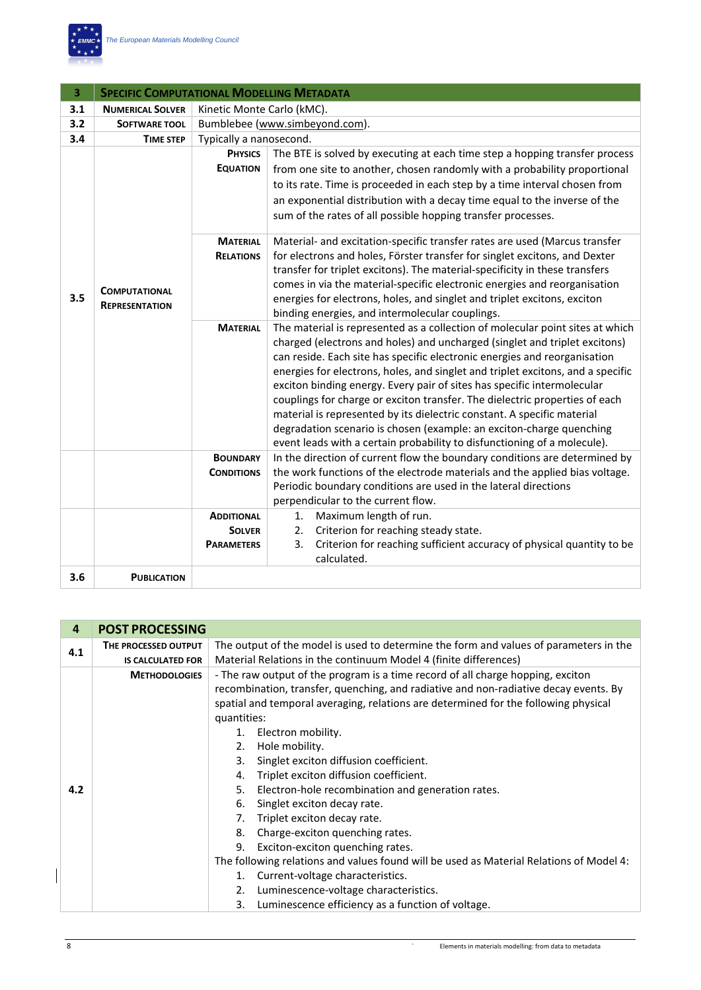

| 3   | <b>SPECIFIC COMPUTATIONAL MODELLING METADATA</b> |                                     |                                                                                                                                                                                                                                                                                                                                                                                                                                                                                                                                                                                                                                                                                                                      |  |
|-----|--------------------------------------------------|-------------------------------------|----------------------------------------------------------------------------------------------------------------------------------------------------------------------------------------------------------------------------------------------------------------------------------------------------------------------------------------------------------------------------------------------------------------------------------------------------------------------------------------------------------------------------------------------------------------------------------------------------------------------------------------------------------------------------------------------------------------------|--|
| 3.1 | <b>NUMERICAL SOLVER</b>                          | Kinetic Monte Carlo (kMC).          |                                                                                                                                                                                                                                                                                                                                                                                                                                                                                                                                                                                                                                                                                                                      |  |
| 3.2 | <b>SOFTWARE TOOL</b>                             | Bumblebee (www.simbeyond.com).      |                                                                                                                                                                                                                                                                                                                                                                                                                                                                                                                                                                                                                                                                                                                      |  |
| 3.4 | <b>TIME STEP</b>                                 | Typically a nanosecond.             |                                                                                                                                                                                                                                                                                                                                                                                                                                                                                                                                                                                                                                                                                                                      |  |
|     |                                                  | <b>PHYSICS</b><br><b>EQUATION</b>   | The BTE is solved by executing at each time step a hopping transfer process<br>from one site to another, chosen randomly with a probability proportional<br>to its rate. Time is proceeded in each step by a time interval chosen from<br>an exponential distribution with a decay time equal to the inverse of the<br>sum of the rates of all possible hopping transfer processes.                                                                                                                                                                                                                                                                                                                                  |  |
| 3.5 | <b>COMPUTATIONAL</b><br><b>REPRESENTATION</b>    | <b>MATERIAL</b><br><b>RELATIONS</b> | Material- and excitation-specific transfer rates are used (Marcus transfer<br>for electrons and holes, Förster transfer for singlet excitons, and Dexter<br>transfer for triplet excitons). The material-specificity in these transfers<br>comes in via the material-specific electronic energies and reorganisation<br>energies for electrons, holes, and singlet and triplet excitons, exciton<br>binding energies, and intermolecular couplings.                                                                                                                                                                                                                                                                  |  |
|     |                                                  | <b>MATERIAL</b>                     | The material is represented as a collection of molecular point sites at which<br>charged (electrons and holes) and uncharged (singlet and triplet excitons)<br>can reside. Each site has specific electronic energies and reorganisation<br>energies for electrons, holes, and singlet and triplet excitons, and a specific<br>exciton binding energy. Every pair of sites has specific intermolecular<br>couplings for charge or exciton transfer. The dielectric properties of each<br>material is represented by its dielectric constant. A specific material<br>degradation scenario is chosen (example: an exciton-charge quenching<br>event leads with a certain probability to disfunctioning of a molecule). |  |
|     |                                                  | <b>BOUNDARY</b>                     | In the direction of current flow the boundary conditions are determined by                                                                                                                                                                                                                                                                                                                                                                                                                                                                                                                                                                                                                                           |  |
|     |                                                  | <b>CONDITIONS</b>                   | the work functions of the electrode materials and the applied bias voltage.<br>Periodic boundary conditions are used in the lateral directions<br>perpendicular to the current flow.                                                                                                                                                                                                                                                                                                                                                                                                                                                                                                                                 |  |
|     |                                                  | <b>ADDITIONAL</b>                   | Maximum length of run.<br>1.                                                                                                                                                                                                                                                                                                                                                                                                                                                                                                                                                                                                                                                                                         |  |
|     |                                                  | <b>SOLVER</b>                       | Criterion for reaching steady state.<br>2.                                                                                                                                                                                                                                                                                                                                                                                                                                                                                                                                                                                                                                                                           |  |
|     |                                                  | <b>PARAMETERS</b>                   | Criterion for reaching sufficient accuracy of physical quantity to be<br>3.<br>calculated.                                                                                                                                                                                                                                                                                                                                                                                                                                                                                                                                                                                                                           |  |
| 3.6 | <b>PUBLICATION</b>                               |                                     |                                                                                                                                                                                                                                                                                                                                                                                                                                                                                                                                                                                                                                                                                                                      |  |

| 4   | <b>POST PROCESSING</b>   |                                                                                         |  |  |  |
|-----|--------------------------|-----------------------------------------------------------------------------------------|--|--|--|
| 4.1 | THE PROCESSED OUTPUT     | The output of the model is used to determine the form and values of parameters in the   |  |  |  |
|     | <b>IS CALCULATED FOR</b> | Material Relations in the continuum Model 4 (finite differences)                        |  |  |  |
|     | <b>METHODOLOGIES</b>     | - The raw output of the program is a time record of all charge hopping, exciton         |  |  |  |
|     |                          | recombination, transfer, quenching, and radiative and non-radiative decay events. By    |  |  |  |
|     |                          | spatial and temporal averaging, relations are determined for the following physical     |  |  |  |
|     |                          | quantities:                                                                             |  |  |  |
|     |                          | Electron mobility.                                                                      |  |  |  |
|     |                          | Hole mobility.<br>2.                                                                    |  |  |  |
|     |                          | Singlet exciton diffusion coefficient.<br>3.                                            |  |  |  |
|     |                          | Triplet exciton diffusion coefficient.<br>4.                                            |  |  |  |
| 4.2 |                          | Electron-hole recombination and generation rates.<br>5.                                 |  |  |  |
|     |                          | Singlet exciton decay rate.<br>6.                                                       |  |  |  |
|     |                          | Triplet exciton decay rate.<br>7.                                                       |  |  |  |
|     |                          | Charge-exciton quenching rates.<br>8.                                                   |  |  |  |
|     |                          | Exciton-exciton quenching rates.<br>9.                                                  |  |  |  |
|     |                          | The following relations and values found will be used as Material Relations of Model 4: |  |  |  |
|     |                          | Current-voltage characteristics.                                                        |  |  |  |
|     |                          | Luminescence-voltage characteristics.<br>2.                                             |  |  |  |
|     |                          | Luminescence efficiency as a function of voltage.<br>3.                                 |  |  |  |

 $\begin{array}{c} \hline \end{array}$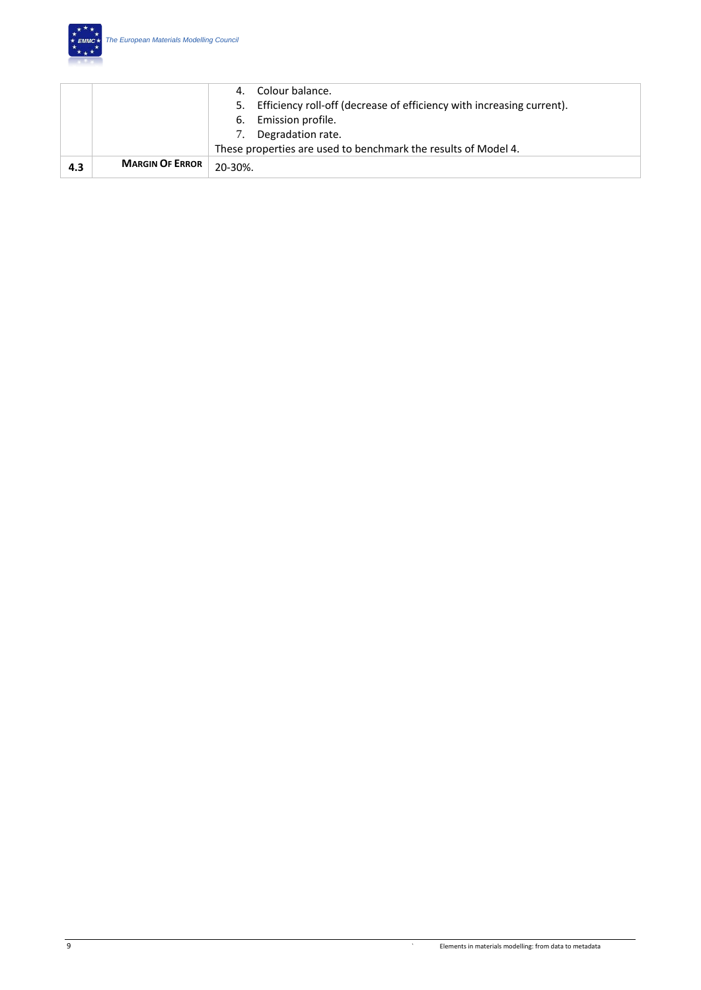

|     |                        | Colour balance.                                                             |
|-----|------------------------|-----------------------------------------------------------------------------|
|     |                        | Efficiency roll-off (decrease of efficiency with increasing current).<br>5. |
|     |                        | Emission profile.<br>6.                                                     |
|     |                        | Degradation rate.                                                           |
|     |                        | These properties are used to benchmark the results of Model 4.              |
| 4.3 | <b>MARGIN OF ERROR</b> | $20 - 30%$                                                                  |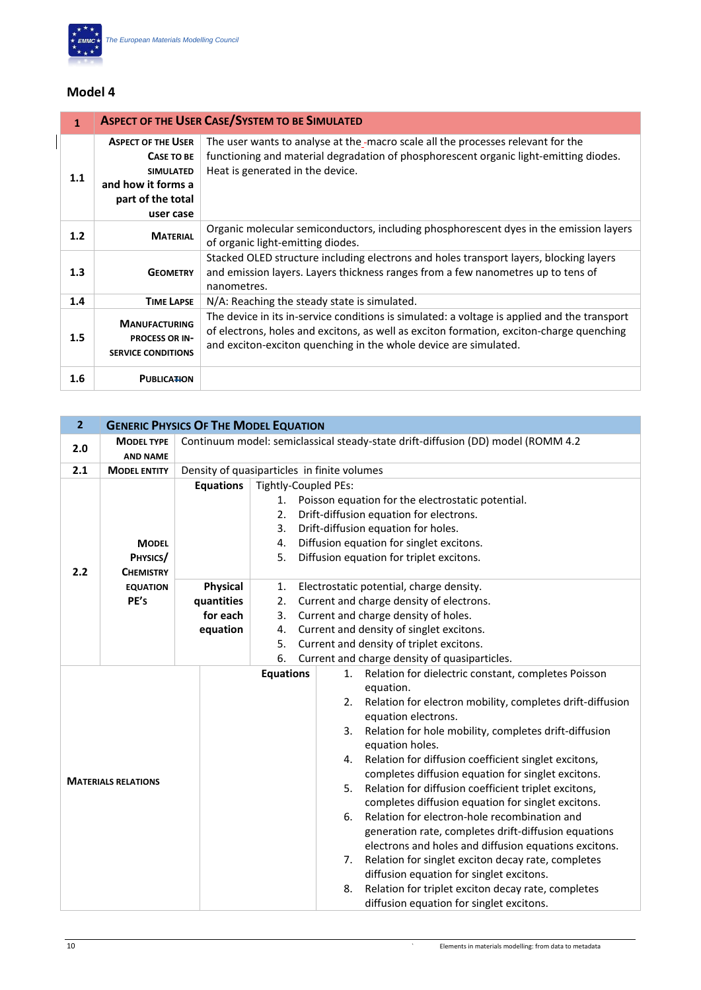

| 1   | <b>ASPECT OF THE USER CASE/SYSTEM TO BE SIMULATED</b>                                                               |                                                                                                                                                                                                                                                              |  |  |
|-----|---------------------------------------------------------------------------------------------------------------------|--------------------------------------------------------------------------------------------------------------------------------------------------------------------------------------------------------------------------------------------------------------|--|--|
| 1.1 | <b>ASPECT OF THE USER</b><br>CASE TO BE<br><b>SIMULATED</b><br>and how it forms a<br>part of the total<br>user case | The user wants to analyse at the macro scale all the processes relevant for the<br>functioning and material degradation of phosphorescent organic light-emitting diodes.<br>Heat is generated in the device.                                                 |  |  |
| 1.2 | <b>MATERIAL</b>                                                                                                     | Organic molecular semiconductors, including phosphorescent dyes in the emission layers<br>of organic light-emitting diodes.                                                                                                                                  |  |  |
| 1.3 | <b>GEOMETRY</b>                                                                                                     | Stacked OLED structure including electrons and holes transport layers, blocking layers<br>and emission layers. Layers thickness ranges from a few nanometres up to tens of<br>nanometres.                                                                    |  |  |
| 1.4 | <b>TIME LAPSE</b>                                                                                                   | N/A: Reaching the steady state is simulated.                                                                                                                                                                                                                 |  |  |
| 1.5 | <b>MANUFACTURING</b><br><b>PROCESS OR IN-</b><br><b>SERVICE CONDITIONS</b>                                          | The device in its in-service conditions is simulated: a voltage is applied and the transport<br>of electrons, holes and excitons, as well as exciton formation, exciton-charge quenching<br>and exciton-exciton quenching in the whole device are simulated. |  |  |
| 1.6 | <b>PUBLICATION</b>                                                                                                  |                                                                                                                                                                                                                                                              |  |  |

| $\overline{2}$             |                                              | <b>GENERIC PHYSICS OF THE MODEL EQUATION</b>                                     |                                                                                                                                                                                                                                                                                                                                                                                                                                                                                                                                                                                                                                                                                                                                                                                                                                                                                                       |  |  |
|----------------------------|----------------------------------------------|----------------------------------------------------------------------------------|-------------------------------------------------------------------------------------------------------------------------------------------------------------------------------------------------------------------------------------------------------------------------------------------------------------------------------------------------------------------------------------------------------------------------------------------------------------------------------------------------------------------------------------------------------------------------------------------------------------------------------------------------------------------------------------------------------------------------------------------------------------------------------------------------------------------------------------------------------------------------------------------------------|--|--|
| 2.0                        | <b>MODEL TYPE</b><br><b>AND NAME</b>         | Continuum model: semiclassical steady-state drift-diffusion (DD) model (ROMM 4.2 |                                                                                                                                                                                                                                                                                                                                                                                                                                                                                                                                                                                                                                                                                                                                                                                                                                                                                                       |  |  |
| 2.1                        | <b>MODEL ENTITY</b>                          |                                                                                  | Density of quasiparticles in finite volumes                                                                                                                                                                                                                                                                                                                                                                                                                                                                                                                                                                                                                                                                                                                                                                                                                                                           |  |  |
| 2.2                        | <b>MODEL</b><br>PHYSICS/<br><b>CHEMISTRY</b> | <b>Equations</b>                                                                 | Tightly-Coupled PEs:<br>Poisson equation for the electrostatic potential.<br>1.<br>Drift-diffusion equation for electrons.<br>2.<br>Drift-diffusion equation for holes.<br>3.<br>Diffusion equation for singlet excitons.<br>4.<br>Diffusion equation for triplet excitons.<br>5.                                                                                                                                                                                                                                                                                                                                                                                                                                                                                                                                                                                                                     |  |  |
|                            | <b>EQUATION</b><br>PE's                      | Physical<br>quantities<br>for each<br>equation                                   | Electrostatic potential, charge density.<br>1.<br>Current and charge density of electrons.<br>2.<br>3.<br>Current and charge density of holes.<br>Current and density of singlet excitons.<br>4.<br>5.<br>Current and density of triplet excitons.<br>6.<br>Current and charge density of quasiparticles.                                                                                                                                                                                                                                                                                                                                                                                                                                                                                                                                                                                             |  |  |
| <b>MATERIALS RELATIONS</b> |                                              |                                                                                  | <b>Equations</b><br>Relation for dielectric constant, completes Poisson<br>1.<br>equation.<br>Relation for electron mobility, completes drift-diffusion<br>2.<br>equation electrons.<br>Relation for hole mobility, completes drift-diffusion<br>3.<br>equation holes.<br>Relation for diffusion coefficient singlet excitons,<br>4.<br>completes diffusion equation for singlet excitons.<br>Relation for diffusion coefficient triplet excitons,<br>5.<br>completes diffusion equation for singlet excitons.<br>Relation for electron-hole recombination and<br>6.<br>generation rate, completes drift-diffusion equations<br>electrons and holes and diffusion equations excitons.<br>Relation for singlet exciton decay rate, completes<br>7.<br>diffusion equation for singlet excitons.<br>Relation for triplet exciton decay rate, completes<br>8.<br>diffusion equation for singlet excitons. |  |  |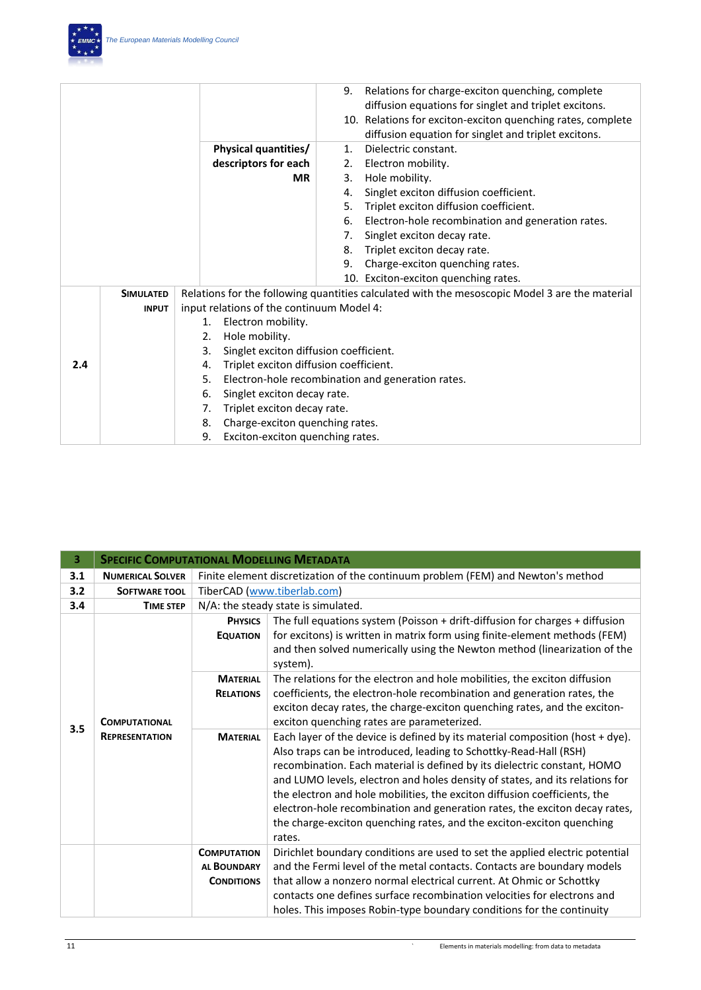|     |                  |                                              | 9. | Relations for charge-exciton quenching, complete<br>diffusion equations for singlet and triplet excitons. |
|-----|------------------|----------------------------------------------|----|-----------------------------------------------------------------------------------------------------------|
|     |                  |                                              |    |                                                                                                           |
|     |                  |                                              |    | 10. Relations for exciton-exciton quenching rates, complete                                               |
|     |                  |                                              |    | diffusion equation for singlet and triplet excitons.                                                      |
|     |                  | <b>Physical quantities/</b>                  | 1. | Dielectric constant.                                                                                      |
|     |                  | descriptors for each                         | 2. | Electron mobility.                                                                                        |
|     |                  | <b>MR</b>                                    | 3. | Hole mobility.                                                                                            |
|     |                  |                                              | 4. | Singlet exciton diffusion coefficient.                                                                    |
|     |                  |                                              | 5. | Triplet exciton diffusion coefficient.                                                                    |
|     |                  |                                              | 6. | Electron-hole recombination and generation rates.                                                         |
|     |                  |                                              | 7. | Singlet exciton decay rate.                                                                               |
|     |                  |                                              | 8. | Triplet exciton decay rate.                                                                               |
|     |                  |                                              | 9. | Charge-exciton quenching rates.                                                                           |
|     |                  |                                              |    | 10. Exciton-exciton quenching rates.                                                                      |
|     | <b>SIMULATED</b> |                                              |    | Relations for the following quantities calculated with the mesoscopic Model 3 are the material            |
|     | <b>INPUT</b>     | input relations of the continuum Model 4:    |    |                                                                                                           |
|     |                  | Electron mobility.<br>1.                     |    |                                                                                                           |
|     |                  | Hole mobility.<br>2.                         |    |                                                                                                           |
|     |                  | Singlet exciton diffusion coefficient.<br>3. |    |                                                                                                           |
| 2.4 |                  | Triplet exciton diffusion coefficient.<br>4. |    |                                                                                                           |
|     |                  | 5.                                           |    | Electron-hole recombination and generation rates.                                                         |
|     |                  | Singlet exciton decay rate.<br>6.            |    |                                                                                                           |
|     |                  | Triplet exciton decay rate.<br>7.            |    |                                                                                                           |
|     |                  | Charge-exciton quenching rates.<br>8.        |    |                                                                                                           |
|     |                  | Exciton-exciton quenching rates.<br>9.       |    |                                                                                                           |

| 3.  | <b>SPECIFIC COMPUTATIONAL MODELLING METADATA</b> |                                                               |                                                                                                                                                                                                                                                                                                                                                                                                                                                                                                                                                                |  |  |
|-----|--------------------------------------------------|---------------------------------------------------------------|----------------------------------------------------------------------------------------------------------------------------------------------------------------------------------------------------------------------------------------------------------------------------------------------------------------------------------------------------------------------------------------------------------------------------------------------------------------------------------------------------------------------------------------------------------------|--|--|
| 3.1 | <b>NUMERICAL SOLVER</b>                          |                                                               | Finite element discretization of the continuum problem (FEM) and Newton's method                                                                                                                                                                                                                                                                                                                                                                                                                                                                               |  |  |
| 3.2 | <b>SOFTWARE TOOL</b>                             |                                                               | TiberCAD (www.tiberlab.com)                                                                                                                                                                                                                                                                                                                                                                                                                                                                                                                                    |  |  |
| 3.4 | <b>TIME STEP</b>                                 |                                                               | N/A: the steady state is simulated.                                                                                                                                                                                                                                                                                                                                                                                                                                                                                                                            |  |  |
| 3.5 | <b>COMPUTATIONAL</b>                             | <b>PHYSICS</b><br><b>EQUATION</b>                             | The full equations system (Poisson + drift-diffusion for charges + diffusion<br>for excitons) is written in matrix form using finite-element methods (FEM)<br>and then solved numerically using the Newton method (linearization of the<br>system).                                                                                                                                                                                                                                                                                                            |  |  |
|     |                                                  | <b>MATERIAL</b><br><b>RELATIONS</b>                           | The relations for the electron and hole mobilities, the exciton diffusion<br>coefficients, the electron-hole recombination and generation rates, the<br>exciton decay rates, the charge-exciton quenching rates, and the exciton-<br>exciton quenching rates are parameterized.                                                                                                                                                                                                                                                                                |  |  |
|     | <b>REPRESENTATION</b>                            | <b>MATERIAL</b>                                               | Each layer of the device is defined by its material composition (host $+$ dye).<br>Also traps can be introduced, leading to Schottky-Read-Hall (RSH)<br>recombination. Each material is defined by its dielectric constant, HOMO<br>and LUMO levels, electron and holes density of states, and its relations for<br>the electron and hole mobilities, the exciton diffusion coefficients, the<br>electron-hole recombination and generation rates, the exciton decay rates,<br>the charge-exciton quenching rates, and the exciton-exciton quenching<br>rates. |  |  |
|     |                                                  | <b>COMPUTATION</b><br><b>AL BOUNDARY</b><br><b>CONDITIONS</b> | Dirichlet boundary conditions are used to set the applied electric potential<br>and the Fermi level of the metal contacts. Contacts are boundary models<br>that allow a nonzero normal electrical current. At Ohmic or Schottky<br>contacts one defines surface recombination velocities for electrons and<br>holes. This imposes Robin-type boundary conditions for the continuity                                                                                                                                                                            |  |  |